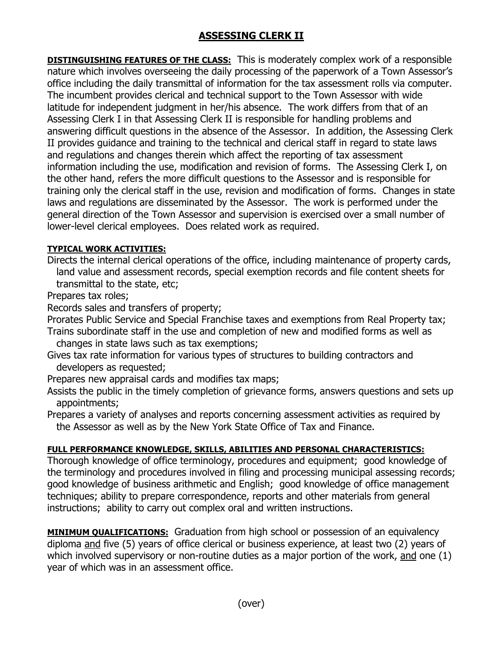## **ASSESSING CLERK II**

**DISTINGUISHING FEATURES OF THE CLASS:** This is moderately complex work of a responsible nature which involves overseeing the daily processing of the paperwork of a Town Assessor's office including the daily transmittal of information for the tax assessment rolls via computer. The incumbent provides clerical and technical support to the Town Assessor with wide latitude for independent judgment in her/his absence. The work differs from that of an Assessing Clerk I in that Assessing Clerk II is responsible for handling problems and answering difficult questions in the absence of the Assessor. In addition, the Assessing Clerk II provides guidance and training to the technical and clerical staff in regard to state laws and regulations and changes therein which affect the reporting of tax assessment information including the use, modification and revision of forms. The Assessing Clerk I, on the other hand, refers the more difficult questions to the Assessor and is responsible for training only the clerical staff in the use, revision and modification of forms. Changes in state laws and regulations are disseminated by the Assessor. The work is performed under the general direction of the Town Assessor and supervision is exercised over a small number of lower-level clerical employees. Does related work as required.

## **TYPICAL WORK ACTIVITIES:**

Directs the internal clerical operations of the office, including maintenance of property cards, land value and assessment records, special exemption records and file content sheets for transmittal to the state, etc;

Prepares tax roles;

Records sales and transfers of property;

Prorates Public Service and Special Franchise taxes and exemptions from Real Property tax;

Trains subordinate staff in the use and completion of new and modified forms as well as changes in state laws such as tax exemptions;

Gives tax rate information for various types of structures to building contractors and developers as requested;

Prepares new appraisal cards and modifies tax maps;

Assists the public in the timely completion of grievance forms, answers questions and sets up appointments;

Prepares a variety of analyses and reports concerning assessment activities as required by the Assessor as well as by the New York State Office of Tax and Finance.

## **FULL PERFORMANCE KNOWLEDGE, SKILLS, ABILITIES AND PERSONAL CHARACTERISTICS:**

Thorough knowledge of office terminology, procedures and equipment; good knowledge of the terminology and procedures involved in filing and processing municipal assessing records; good knowledge of business arithmetic and English; good knowledge of office management techniques; ability to prepare correspondence, reports and other materials from general instructions; ability to carry out complex oral and written instructions.

**MINIMUM QUALIFICATIONS:** Graduation from high school or possession of an equivalency diploma and five (5) years of office clerical or business experience, at least two (2) years of which involved supervisory or non-routine duties as a major portion of the work, and one (1) year of which was in an assessment office.